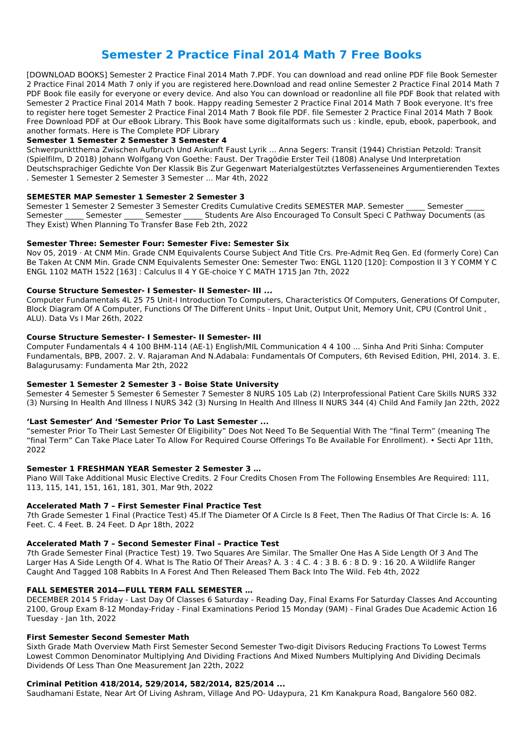# **Semester 2 Practice Final 2014 Math 7 Free Books**

[DOWNLOAD BOOKS] Semester 2 Practice Final 2014 Math 7.PDF. You can download and read online PDF file Book Semester 2 Practice Final 2014 Math 7 only if you are registered here.Download and read online Semester 2 Practice Final 2014 Math 7 PDF Book file easily for everyone or every device. And also You can download or readonline all file PDF Book that related with Semester 2 Practice Final 2014 Math 7 book. Happy reading Semester 2 Practice Final 2014 Math 7 Book everyone. It's free to register here toget Semester 2 Practice Final 2014 Math 7 Book file PDF. file Semester 2 Practice Final 2014 Math 7 Book Free Download PDF at Our eBook Library. This Book have some digitalformats such us : kindle, epub, ebook, paperbook, and another formats. Here is The Complete PDF Library

Semester 1 Semester 2 Semester 3 Semester Credits Cumulative Credits SEMESTER MAP. Semester Gemester Semester Semester Semester Students Are Also Encouraged To Consult Speci C Pathway Documents (as They Exist) When Planning To Transfer Base Feb 2th, 2022

#### **Semester 1 Semester 2 Semester 3 Semester 4**

Schwerpunktthema Zwischen Aufbruch Und Ankunft Faust Lyrik ... Anna Segers: Transit (1944) Christian Petzold: Transit (Spielfilm, D 2018) Johann Wolfgang Von Goethe: Faust. Der Tragödie Erster Teil (1808) Analyse Und Interpretation Deutschsprachiger Gedichte Von Der Klassik Bis Zur Gegenwart Materialgestütztes Verfasseneines Argumentierenden Textes . Semester 1 Semester 2 Semester 3 Semester ... Mar 4th, 2022

#### **SEMESTER MAP Semester 1 Semester 2 Semester 3**

#### **Semester Three: Semester Four: Semester Five: Semester Six**

Nov 05, 2019 · At CNM Min. Grade CNM Equivalents Course Subject And Title Crs. Pre-Admit Req Gen. Ed (formerly Core) Can Be Taken At CNM Min. Grade CNM Equivalents Semester One: Semester Two: ENGL 1120 [120]: Compostion II 3 Y COMM Y C ENGL 1102 MATH 1522 [163] : Calculus II 4 Y GE-choice Y C MATH 1715 Jan 7th, 2022

#### **Course Structure Semester- I Semester- II Semester- III ...**

Computer Fundamentals 4L 25 75 Unit-I Introduction To Computers, Characteristics Of Computers, Generations Of Computer, Block Diagram Of A Computer, Functions Of The Different Units - Input Unit, Output Unit, Memory Unit, CPU (Control Unit , ALU). Data Vs I Mar 26th, 2022

#### **Course Structure Semester- I Semester- II Semester- III**

Computer Fundamentals 4 4 100 BHM-114 (AE-1) English/MIL Communication 4 4 100 ... Sinha And Priti Sinha: Computer Fundamentals, BPB, 2007. 2. V. Rajaraman And N.Adabala: Fundamentals Of Computers, 6th Revised Edition, PHI, 2014. 3. E. Balagurusamy: Fundamenta Mar 2th, 2022

#### **Semester 1 Semester 2 Semester 3 - Boise State University**

Semester 4 Semester 5 Semester 6 Semester 7 Semester 8 NURS 105 Lab (2) Interprofessional Patient Care Skills NURS 332 (3) Nursing In Health And Illness I NURS 342 (3) Nursing In Health And Illness II NURS 344 (4) Child And Family Jan 22th, 2022

#### **'Last Semester' And 'Semester Prior To Last Semester ...**

"semester Prior To Their Last Semester Of Eligibility" Does Not Need To Be Sequential With The "final Term" (meaning The "final Term" Can Take Place Later To Allow For Required Course Offerings To Be Available For Enrollment). • Secti Apr 11th, 2022

#### **Semester 1 FRESHMAN YEAR Semester 2 Semester 3 …**

Piano Will Take Additional Music Elective Credits. 2 Four Credits Chosen From The Following Ensembles Are Required: 111, 113, 115, 141, 151, 161, 181, 301, Mar 9th, 2022

### **Accelerated Math 7 – First Semester Final Practice Test**

7th Grade Semester 1 Final (Practice Test) 45.If The Diameter Of A Circle Is 8 Feet, Then The Radius Of That Circle Is: A. 16 Feet. C. 4 Feet. B. 24 Feet. D Apr 18th, 2022

### **Accelerated Math 7 – Second Semester Final – Practice Test**

7th Grade Semester Final (Practice Test) 19. Two Squares Are Similar. The Smaller One Has A Side Length Of 3 And The Larger Has A Side Length Of 4. What Is The Ratio Of Their Areas? A. 3 : 4 C. 4 : 3 B. 6 : 8 D. 9 : 16 20. A Wildlife Ranger

Caught And Tagged 108 Rabbits In A Forest And Then Released Them Back Into The Wild. Feb 4th, 2022

#### **FALL SEMESTER 2014—FULL TERM FALL SEMESTER …**

DECEMBER 2014 5 Friday - Last Day Of Classes 6 Saturday - Reading Day, Final Exams For Saturday Classes And Accounting 2100, Group Exam 8-12 Monday-Friday - Final Examinations Period 15 Monday (9AM) - Final Grades Due Academic Action 16 Tuesday - Jan 1th, 2022

#### **First Semester Second Semester Math**

Sixth Grade Math Overview Math First Semester Second Semester Two-digit Divisors Reducing Fractions To Lowest Terms Lowest Common Denominator Multiplying And Dividing Fractions And Mixed Numbers Multiplying And Dividing Decimals Dividends Of Less Than One Measurement Jan 22th, 2022

#### **Criminal Petition 418/2014, 529/2014, 582/2014, 825/2014 ...**

Saudhamani Estate, Near Art Of Living Ashram, Village And PO- Udaypura, 21 Km Kanakpura Road, Bangalore 560 082.